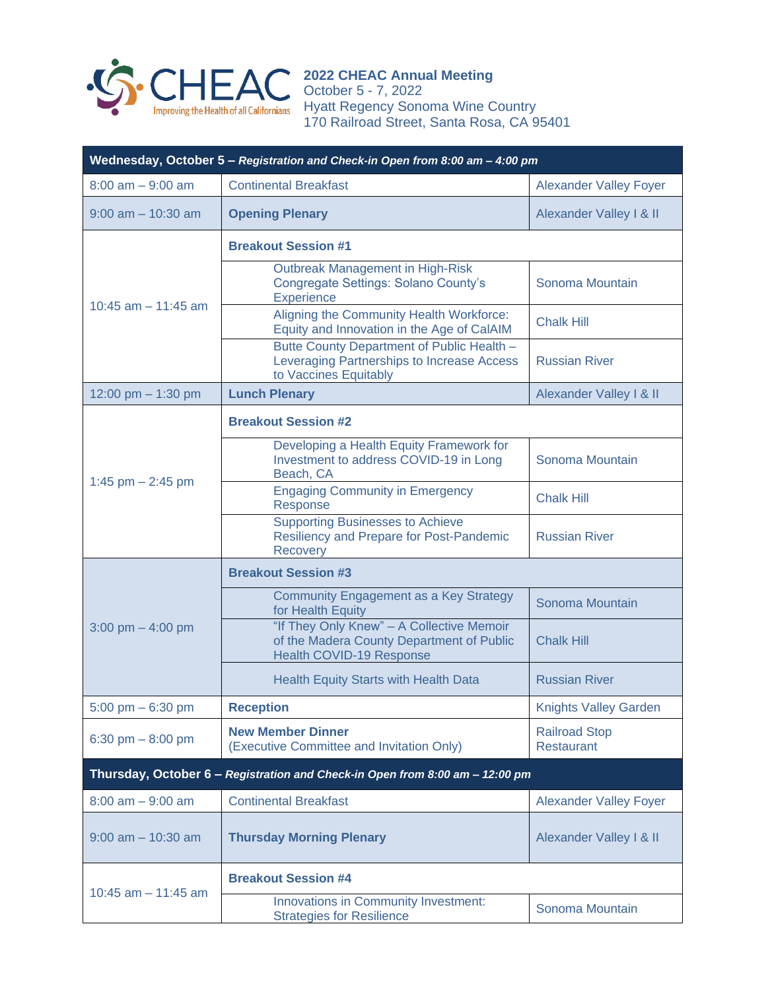

**2022 CHEAC Annual Meeting** October 5 - 7, 2022 Hyatt Regency Sonoma Wine Country 170 Railroad Street, Santa Rosa, CA 95401

| Wednesday, October 5 - Registration and Check-in Open from 8:00 am - 4:00 pm |                                                                                                                           |                                           |  |
|------------------------------------------------------------------------------|---------------------------------------------------------------------------------------------------------------------------|-------------------------------------------|--|
| $8:00$ am $-9:00$ am                                                         | <b>Continental Breakfast</b>                                                                                              | <b>Alexander Valley Foyer</b>             |  |
| $9:00$ am $-10:30$ am                                                        | <b>Opening Plenary</b>                                                                                                    | Alexander Valley I & II                   |  |
| 10:45 $am - 11:45 am$                                                        | <b>Breakout Session #1</b>                                                                                                |                                           |  |
|                                                                              | <b>Outbreak Management in High-Risk</b><br>Congregate Settings: Solano County's<br><b>Experience</b>                      | Sonoma Mountain                           |  |
|                                                                              | Aligning the Community Health Workforce:<br>Equity and Innovation in the Age of CalAIM                                    | <b>Chalk Hill</b>                         |  |
|                                                                              | Butte County Department of Public Health -<br>Leveraging Partnerships to Increase Access<br>to Vaccines Equitably         | <b>Russian River</b>                      |  |
| 12:00 pm $-$ 1:30 pm                                                         | <b>Lunch Plenary</b>                                                                                                      | Alexander Valley I & II                   |  |
| 1:45 pm $-$ 2:45 pm                                                          | <b>Breakout Session #2</b>                                                                                                |                                           |  |
|                                                                              | Developing a Health Equity Framework for<br>Investment to address COVID-19 in Long<br>Beach, CA                           | Sonoma Mountain                           |  |
|                                                                              | <b>Engaging Community in Emergency</b><br>Response                                                                        | <b>Chalk Hill</b>                         |  |
|                                                                              | <b>Supporting Businesses to Achieve</b><br>Resiliency and Prepare for Post-Pandemic<br><b>Recovery</b>                    | <b>Russian River</b>                      |  |
| 3:00 pm $-$ 4:00 pm                                                          | <b>Breakout Session #3</b>                                                                                                |                                           |  |
|                                                                              | <b>Community Engagement as a Key Strategy</b><br>for Health Equity                                                        | Sonoma Mountain                           |  |
|                                                                              | "If They Only Knew" - A Collective Memoir<br>of the Madera County Department of Public<br><b>Health COVID-19 Response</b> | <b>Chalk Hill</b>                         |  |
|                                                                              | <b>Health Equity Starts with Health Data</b>                                                                              | <b>Russian River</b>                      |  |
| $5:00 \text{ pm} - 6:30 \text{ pm}$                                          | <b>Reception</b>                                                                                                          | <b>Knights Valley Garden</b>              |  |
| 6:30 pm $-8:00$ pm                                                           | <b>New Member Dinner</b><br>(Executive Committee and Invitation Only)                                                     | <b>Railroad Stop</b><br><b>Restaurant</b> |  |
| Thursday, October 6 - Registration and Check-in Open from 8:00 am - 12:00 pm |                                                                                                                           |                                           |  |
| $8:00$ am $-9:00$ am                                                         | <b>Continental Breakfast</b>                                                                                              | <b>Alexander Valley Foyer</b>             |  |
| $9:00$ am $-10:30$ am                                                        | <b>Thursday Morning Plenary</b>                                                                                           | Alexander Valley I & II                   |  |
| 10:45 $am - 11:45 am$                                                        | <b>Breakout Session #4</b>                                                                                                |                                           |  |
|                                                                              | Innovations in Community Investment:<br><b>Strategies for Resilience</b>                                                  | Sonoma Mountain                           |  |